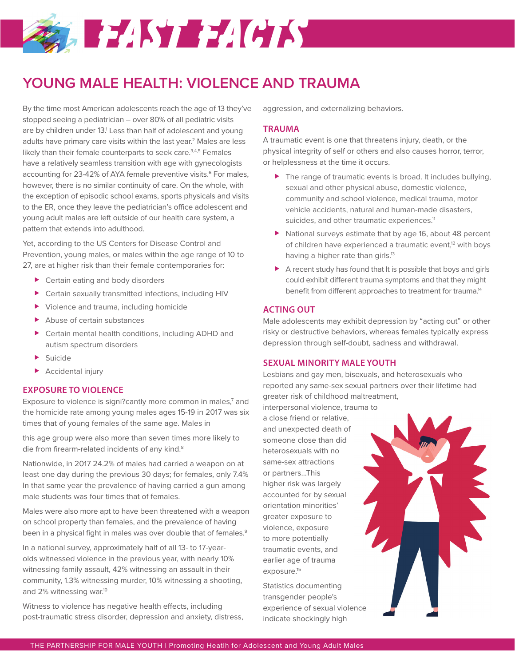# **MARTALIST FACTS**

# **YOUNG MALE HEALTH: VIOLENCE AND TRAUMA**

By the time most American adolescents reach the age of 13 they've stopped seeing a pediatrician – over 80% of all pediatric visits are by children under 13.<sup>1</sup> Less than half of adolescent and young adults have primary care visits within the last year.<sup>2</sup> Males are less likely than their female counterparts to seek care.<sup>3,4,5</sup> Females have a relatively seamless transition with age with gynecologists accounting for 23-42% of AYA female preventive visits.<sup>6</sup> For males, however, there is no similar continuity of care. On the whole, with the exception of episodic school exams, sports physicals and visits to the ER, once they leave the pediatrician's office adolescent and young adult males are left outside of our health care system, a pattern that extends into adulthood.

Yet, according to the US Centers for Disease Control and Prevention, young males, or males within the age range of 10 to 27, are at higher risk than their female contemporaries for:

- ▶ Certain eating and body disorders
- Certain sexually transmitted infections, including HIV
- Violence and trauma, including homicide
- Abuse of certain substances
- Certain mental health conditions, including ADHD and autism spectrum disorders
- **>** Suicide
- Accidental injury

## **EXPOSURE TO VIOLENCE**

Exposure to violence is signi?cantly more common in males, $7$  and the homicide rate among young males ages 15-19 in 2017 was six times that of young females of the same age. Males in

this age group were also more than seven times more likely to die from firearm-related incidents of any kind.<sup>8</sup>

Nationwide, in 2017 24.2% of males had carried a weapon on at least one day during the previous 30 days; for females, only 7.4% In that same year the prevalence of having carried a gun among male students was four times that of females.

Males were also more apt to have been threatened with a weapon on school property than females, and the prevalence of having been in a physical fight in males was over double that of females.<sup>9</sup>

In a national survey, approximately half of all 13- to 17-yearolds witnessed violence in the previous year, with nearly 10% witnessing family assault, 42% witnessing an assault in their community, 1.3% witnessing murder, 10% witnessing a shooting, and 2% witnessing war.<sup>10</sup>

Witness to violence has negative health effects, including post-traumatic stress disorder, depression and anxiety, distress, aggression, and externalizing behaviors.

#### **TRAUMA**

A traumatic event is one that threatens injury, death, or the physical integrity of self or others and also causes horror, terror, or helplessness at the time it occurs.

- ▶ The range of traumatic events is broad. It includes bullying, sexual and other physical abuse, domestic violence, community and school violence, medical trauma, motor vehicle accidents, natural and human-made disasters, suicides, and other traumatic experiences.<sup>11</sup>
- National surveys estimate that by age 16, about 48 percent of children have experienced a traumatic event,<sup>12</sup> with boys having a higher rate than girls.<sup>13</sup>
- A recent study has found that It is possible that boys and girls could exhibit different trauma symptoms and that they might benefit from different approaches to treatment for trauma.<sup>14</sup>

### **ACTING OUT**

Male adolescents may exhibit depression by "acting out" or other risky or destructive behaviors, whereas females typically express depression through self-doubt, sadness and withdrawal.

#### **SEXUAL MINORITY MALE YOUTH**

Lesbians and gay men, bisexuals, and heterosexuals who reported any same-sex sexual partners over their lifetime had greater risk of childhood maltreatment,

interpersonal violence, trauma to a close friend or relative, and unexpected death of someone close than did heterosexuals with no same-sex attractions or partners…This higher risk was largely accounted for by sexual orientation minorities' greater exposure to violence, exposure to more potentially traumatic events, and earlier age of trauma exposure.15

Statistics documenting transgender people's experience of sexual violence indicate shockingly high

THE PARTNERSHIP FOR MALE YOUTH | Promoting Heatlh for Adolescent and Young Adult Males